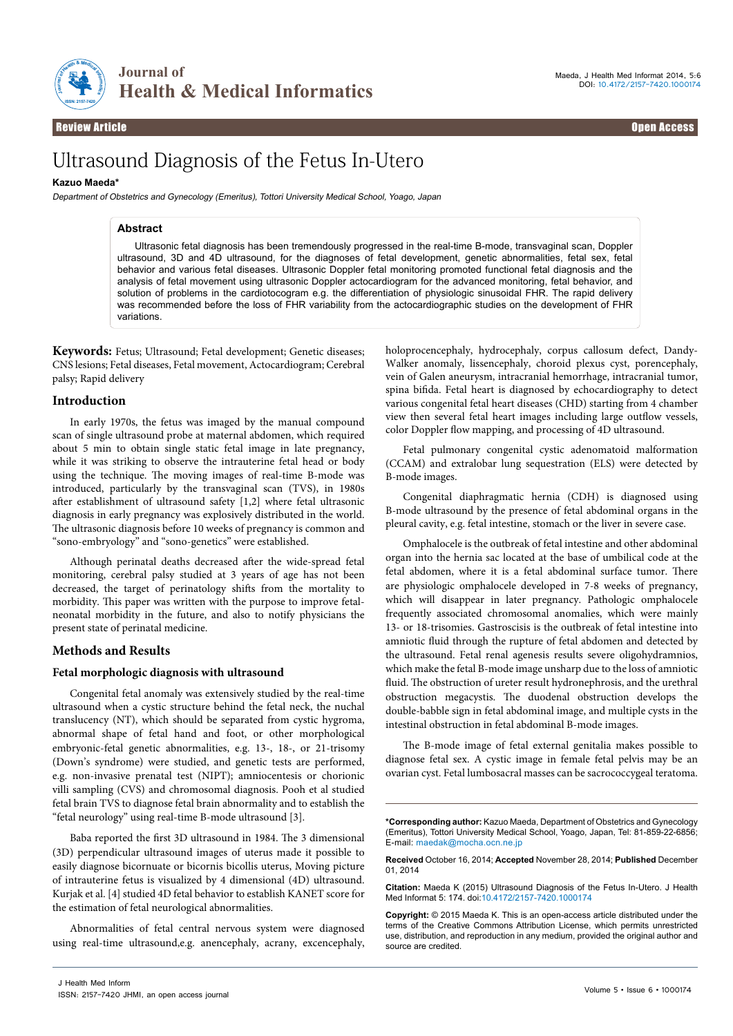

**Journal of Health & Medical Informatics** 

# Ultrasound Diagnosis of the Fetus In-Utero

## **Kazuo Maeda\***

Department of Obstetrics and Gynecology (Emeritus), Tottori University Medical School, Yoago, Japan

## **Abstract**

Ultrasonic fetal diagnosis has been tremendously progressed in the real-time B-mode, transvaginal scan, Doppler ultrasound, 3D and 4D ultrasound, for the diagnoses of fetal development, genetic abnormalities, fetal sex, fetal behavior and various fetal diseases. Ultrasonic Doppler fetal monitoring promoted functional fetal diagnosis and the analysis of fetal movement using ultrasonic Doppler actocardiogram for the advanced monitoring, fetal behavior, and solution of problems in the cardiotocogram e.g. the differentiation of physiologic sinusoidal FHR. The rapid delivery was recommended before the loss of FHR variability from the actocardiographic studies on the development of FHR variations.

**Keywords:** Fetus; Ultrasound; Fetal development; Genetic diseases; CNS lesions; Fetal diseases, Fetal movement, Actocardiogram; Cerebral palsy; Rapid delivery

## **Introduction**

In early 1970s, the fetus was imaged by the manual compound scan of single ultrasound probe at maternal abdomen, which required about 5 min to obtain single static fetal image in late pregnancy, while it was striking to observe the intrauterine fetal head or body using the technique. The moving images of real-time B-mode was introduced, particularly by the transvaginal scan (TVS), in 1980s after establishment of ultrasound safety [1,2] where fetal ultrasonic diagnosis in early pregnancy was explosively distributed in the world. The ultrasonic diagnosis before 10 weeks of pregnancy is common and "sono-embryology" and "sono-genetics" were established.

Although perinatal deaths decreased after the wide-spread fetal monitoring, cerebral palsy studied at 3 years of age has not been decreased, the target of perinatology shifts from the mortality to morbidity. This paper was written with the purpose to improve fetalneonatal morbidity in the future, and also to notify physicians the present state of perinatal medicine.

## **Methods and Results**

## **Fetal morphologic diagnosis with ultrasound**

Congenital fetal anomaly was extensively studied by the real-time ultrasound when a cystic structure behind the fetal neck, the nuchal translucency (NT), which should be separated from cystic hygroma, abnormal shape of fetal hand and foot, or other morphological embryonic-fetal genetic abnormalities, e.g. 13-, 18-, or 21-trisomy (Down's syndrome) were studied, and genetic tests are performed, e.g. non-invasive prenatal test (NIPT); amniocentesis or chorionic villi sampling (CVS) and chromosomal diagnosis. Pooh et al studied fetal brain TVS to diagnose fetal brain abnormality and to establish the "fetal neurology" using real-time B-mode ultrasound [3].

Baba reported the first 3D ultrasound in 1984. The 3 dimensional (3D) perpendicular ultrasound images of uterus made it possible to easily diagnose bicornuate or bicornis bicollis uterus, Moving picture of intrauterine fetus is visualized by 4 dimensional (4D) ultrasound. Kurjak et al. [4] studied 4D fetal behavior to establish KANET score for the estimation of fetal neurological abnormalities.

Abnormalities of fetal central nervous system were diagnosed using real-time ultrasound,e.g. anencephaly, acrany, excencephaly, holoprocencephaly, hydrocephaly, corpus callosum defect, Dandy-Walker anomaly, lissencephaly, choroid plexus cyst, porencephaly, vein of Galen aneurysm, intracranial hemorrhage, intracranial tumor, spina bifida. Fetal heart is diagnosed by echocardiography to detect various congenital fetal heart diseases (CHD) starting from 4 chamber view then several fetal heart images including large outflow vessels, color Doppler flow mapping, and processing of 4D ultrasound.

Fetal pulmonary congenital cystic adenomatoid malformation (CCAM) and extralobar lung sequestration (ELS) were detected by B-mode images.

Congenital diaphragmatic hernia (CDH) is diagnosed using B-mode ultrasound by the presence of fetal abdominal organs in the pleural cavity, e.g. fetal intestine, stomach or the liver in severe case.

Omphalocele is the outbreak of fetal intestine and other abdominal organ into the hernia sac located at the base of umbilical code at the fetal abdomen, where it is a fetal abdominal surface tumor. There are physiologic omphalocele developed in 7-8 weeks of pregnancy, which will disappear in later pregnancy. Pathologic omphalocele frequently associated chromosomal anomalies, which were mainly 13- or 18-trisomies. Gastroscisis is the outbreak of fetal intestine into amniotic fluid through the rupture of fetal abdomen and detected by the ultrasound. Fetal renal agenesis results severe oligohydramnios, which make the fetal B-mode image unsharp due to the loss of amniotic fluid. The obstruction of ureter result hydronephrosis, and the urethral obstruction megacystis. The duodenal obstruction develops the double-babble sign in fetal abdominal image, and multiple cysts in the intestinal obstruction in fetal abdominal B-mode images.

The B-mode image of fetal external genitalia makes possible to diagnose fetal sex. A cystic image in female fetal pelvis may be an ovarian cyst. Fetal lumbosacral masses can be sacrococcygeal teratoma.

**Received** October 16, 2014; **Accepted** November 28, 2014; **Published** December 01, 2014

**Citation:** Maeda K (2015) Ultrasound Diagnosis of the Fetus In-Utero. J Health Med Informat 5: 174. doi:10.4172/2157-7420.1000174

**Copyright:** © 2015 Maeda K. This is an open-access article distributed under the terms of the Creative Commons Attribution License, which permits unrestricted use, distribution, and reproduction in any medium, provided the original author and source are credited.

**<sup>\*</sup>Corresponding author:** Kazuo Maeda, Department of Obstetrics and Gynecology (Emeritus), Tottori University Medical School, Yoago, Japan, Tel: 81-859-22-6856; E-mail: maedak@mocha.ocn.ne.jp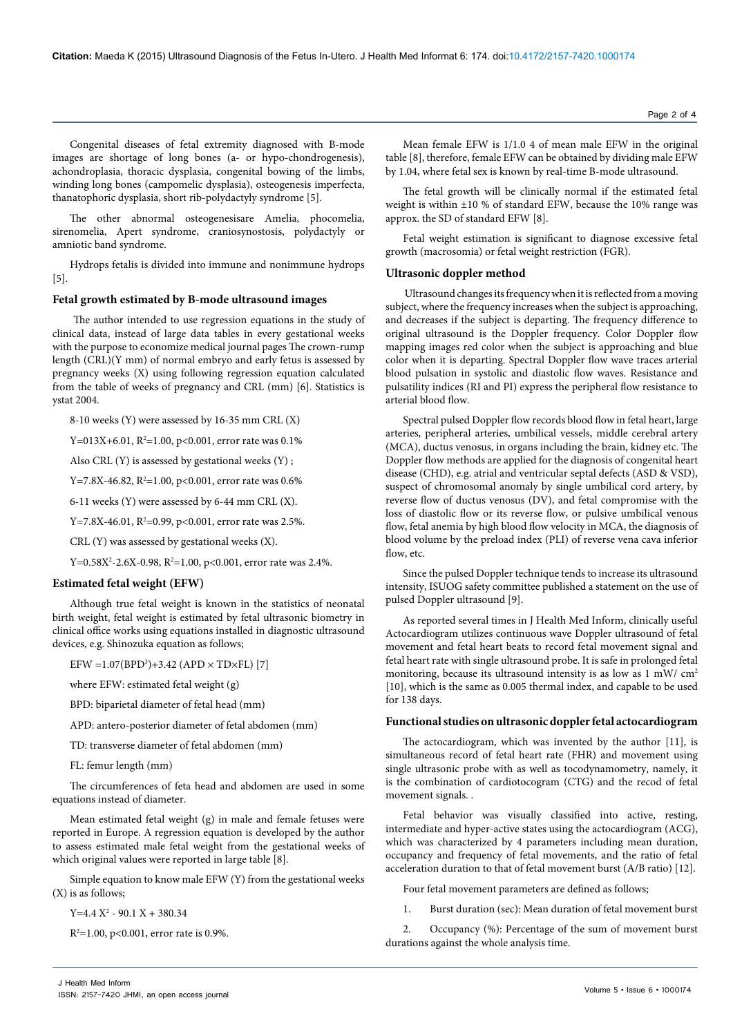Congenital diseases of fetal extremity diagnosed with B-mode images are shortage of long bones (a- or hypo-chondrogenesis), achondroplasia, thoracic dysplasia, congenital bowing of the limbs, winding long bones (campomelic dysplasia), osteogenesis imperfecta, thanatophoric dysplasia, short rib-polydactyly syndrome [5].

The other abnormal osteogenesisare Amelia, phocomelia, sirenomelia, Apert syndrome, craniosynostosis, polydactyly or amniotic band syndrome.

Hydrops fetalis is divided into immune and nonimmune hydrops [5].

### **Fetal growth estimated by B-mode ultrasound images**

 The author intended to use regression equations in the study of clinical data, instead of large data tables in every gestational weeks with the purpose to economize medical journal pages The crown-rump length (CRL)(Y mm) of normal embryo and early fetus is assessed by pregnancy weeks (X) using following regression equation calculated from the table of weeks of pregnancy and CRL (mm) [6]. Statistics is ystat 2004.

8-10 weeks (Y) were assessed by 16-35 mm CRL (X)

Y=013X+6.01, R<sup>2</sup>=1.00, p<0.001, error rate was 0.1%

Also CRL (Y) is assessed by gestational weeks (Y) ;

Y=7.8X-46.82, R<sup>2</sup>=1.00, p<0.001, error rate was 0.6%

6-11 weeks (Y) were assessed by 6-44 mm CRL (X).

 $Y = 7.8X - 46.01$ ,  $R^2 = 0.99$ , p<0.001, error rate was 2.5%.

CRL (Y) was assessed by gestational weeks (X).

 $\rm Y\texttt{=}0.58 X^2\textnormal{-}2.6 X\textnormal{-}0.98, R^2\texttt{=}1.00, p\texttt{<}0.001,$  error rate was 2.4%.

## **Estimated fetal weight (EFW)**

Although true fetal weight is known in the statistics of neonatal birth weight, fetal weight is estimated by fetal ultrasonic biometry in clinical office works using equations installed in diagnostic ultrasound devices, e.g. Shinozuka equation as follows;

EFW =1.07(BPD3 )+3.42 (APD × TD×FL) [7]

where EFW: estimated fetal weight (g)

BPD: biparietal diameter of fetal head (mm)

APD: antero-posterior diameter of fetal abdomen (mm)

TD: transverse diameter of fetal abdomen (mm)

FL: femur length (mm)

The circumferences of feta head and abdomen are used in some equations instead of diameter.

Mean estimated fetal weight (g) in male and female fetuses were reported in Europe. A regression equation is developed by the author to assess estimated male fetal weight from the gestational weeks of which original values were reported in large table [8].

Simple equation to know male EFW (Y) from the gestational weeks (X) is as follows;

 $Y=4.4 X^2 - 90.1 X + 380.34$ 

R2 =1.00, p<0.001, error rate is 0.9%.

Mean female EFW is 1/1.0 4 of mean male EFW in the original table [8], therefore, female EFW can be obtained by dividing male EFW by 1.04, where fetal sex is known by real-time B-mode ultrasound.

The fetal growth will be clinically normal if the estimated fetal weight is within ±10 % of standard EFW, because the 10% range was approx. the SD of standard EFW [8].

Fetal weight estimation is significant to diagnose excessive fetal growth (macrosomia) or fetal weight restriction (FGR).

#### **Ultrasonic doppler method**

 Ultrasound changes its frequency when it is reflected from a moving subject, where the frequency increases when the subject is approaching, and decreases if the subject is departing. The frequency difference to original ultrasound is the Doppler frequency. Color Doppler flow mapping images red color when the subject is approaching and blue color when it is departing. Spectral Doppler flow wave traces arterial blood pulsation in systolic and diastolic flow waves. Resistance and pulsatility indices (RI and PI) express the peripheral flow resistance to arterial blood flow.

Spectral pulsed Doppler flow records blood flow in fetal heart, large arteries, peripheral arteries, umbilical vessels, middle cerebral artery (MCA), ductus venosus, in organs including the brain, kidney etc. The Doppler flow methods are applied for the diagnosis of congenital heart disease (CHD), e.g. atrial and ventricular septal defects (ASD & VSD), suspect of chromosomal anomaly by single umbilical cord artery, by reverse flow of ductus venosus (DV), and fetal compromise with the loss of diastolic flow or its reverse flow, or pulsive umbilical venous flow, fetal anemia by high blood flow velocity in MCA, the diagnosis of blood volume by the preload index (PLI) of reverse vena cava inferior flow, etc.

Since the pulsed Doppler technique tends to increase its ultrasound intensity, ISUOG safety committee published a statement on the use of pulsed Doppler ultrasound [9].

As reported several times in J Health Med Inform, clinically useful Actocardiogram utilizes continuous wave Doppler ultrasound of fetal movement and fetal heart beats to record fetal movement signal and fetal heart rate with single ultrasound probe. It is safe in prolonged fetal monitoring, because its ultrasound intensity is as low as  $1 \text{ mW}/ \text{ cm}^2$ [10], which is the same as 0.005 thermal index, and capable to be used for 138 days.

## **Functional studies on ultrasonic doppler fetal actocardiogram**

The actocardiogram, which was invented by the author [11], is simultaneous record of fetal heart rate (FHR) and movement using single ultrasonic probe with as well as tocodynamometry, namely, it is the combination of cardiotocogram (CTG) and the recod of fetal movement signals. .

Fetal behavior was visually classified into active, resting, intermediate and hyper-active states using the actocardiogram (ACG), which was characterized by 4 parameters including mean duration, occupancy and frequency of fetal movements, and the ratio of fetal acceleration duration to that of fetal movement burst (A/B ratio) [12].

Four fetal movement parameters are defined as follows;

1. Burst duration (sec): Mean duration of fetal movement burst

2. Occupancy (%): Percentage of the sum of movement burst durations against the whole analysis time.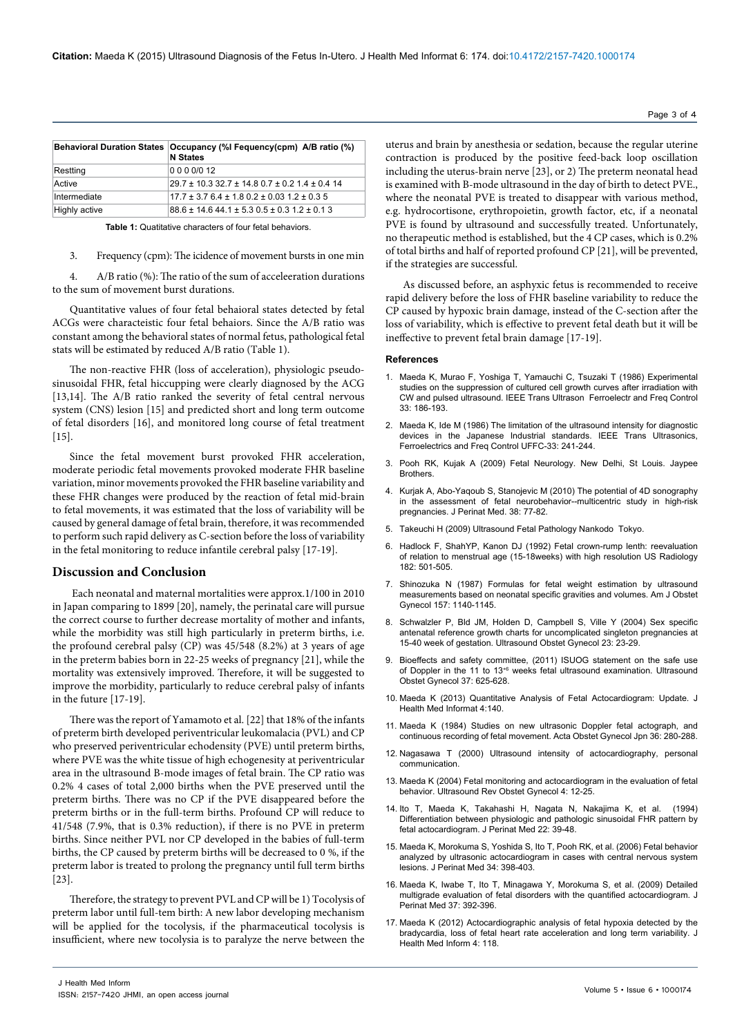|               | Behavioral Duration States   Occupancy (%I Fequency(cpm) A/B ratio (%)<br><b>N</b> States |
|---------------|-------------------------------------------------------------------------------------------|
| Restting      | 0000/012                                                                                  |
| Active        | 29.7 ± 10.3 32.7 ± 14.8 0.7 ± 0.2 1.4 ± 0.4 14                                            |
| Intermediate  | $17.7 \pm 3.76.4 \pm 1.80.2 \pm 0.031.2 \pm 0.35$                                         |
| Highly active | 88.6 ± 14.6 44.1 ± 5.3 0.5 ± 0.3 1.2 ± 0.1 3                                              |

**Table 1:** Quatitative characters of four fetal behaviors.

3. Frequency (cpm): The icidence of movement bursts in one min

4. A/B ratio (%): The ratio of the sum of acceleeration durations to the sum of movement burst durations.

Quantitative values of four fetal behaioral states detected by fetal ACGs were characteistic four fetal behaiors. Since the A/B ratio was constant among the behavioral states of normal fetus, pathological fetal stats will be estimated by reduced A/B ratio (Table 1).

The non-reactive FHR (loss of acceleration), physiologic pseudosinusoidal FHR, fetal hiccupping were clearly diagnosed by the ACG [13,14]. The A/B ratio ranked the severity of fetal central nervous system (CNS) lesion [15] and predicted short and long term outcome of fetal disorders [16], and monitored long course of fetal treatment [15].

Since the fetal movement burst provoked FHR acceleration, moderate periodic fetal movements provoked moderate FHR baseline variation, minor movements provoked the FHR baseline variability and these FHR changes were produced by the reaction of fetal mid-brain to fetal movements, it was estimated that the loss of variability will be caused by general damage of fetal brain, therefore, it was recommended to perform such rapid delivery as C-section before the loss of variability in the fetal monitoring to reduce infantile cerebral palsy [17-19].

## **Discussion and Conclusion**

 Each neonatal and maternal mortalities were approx.1/100 in 2010 in Japan comparing to 1899 [20], namely, the perinatal care will pursue the correct course to further decrease mortality of mother and infants, while the morbidity was still high particularly in preterm births, i.e. the profound cerebral palsy (CP) was 45/548 (8.2%) at 3 years of age in the preterm babies born in 22-25 weeks of pregnancy [21], while the mortality was extensively improved. Therefore, it will be suggested to improve the morbidity, particularly to reduce cerebral palsy of infants in the future [17-19].

There was the report of Yamamoto et al. [22] that 18% of the infants of preterm birth developed periventricular leukomalacia (PVL) and CP who preserved periventricular echodensity (PVE) until preterm births, where PVE was the white tissue of high echogenesity at periventricular area in the ultrasound B-mode images of fetal brain. The CP ratio was 0.2% 4 cases of total 2,000 births when the PVE preserved until the preterm births. There was no CP if the PVE disappeared before the preterm births or in the full-term births. Profound CP will reduce to 41/548 (7.9%, that is 0.3% reduction), if there is no PVE in preterm births. Since neither PVL nor CP developed in the babies of full-term births, the CP caused by preterm births will be decreased to 0 %, if the preterm labor is treated to prolong the pregnancy until full term births [23].

Therefore, the strategy to prevent PVL and CP will be 1) Tocolysis of preterm labor until full-tem birth: A new labor developing mechanism will be applied for the tocolysis, if the pharmaceutical tocolysis is insufficient, where new tocolysia is to paralyze the nerve between the uterus and brain by anesthesia or sedation, because the regular uterine contraction is produced by the positive feed-back loop oscillation including the uterus-brain nerve [23], or 2) The preterm neonatal head is examined with B-mode ultrasound in the day of birth to detect PVE., where the neonatal PVE is treated to disappear with various method, e.g. hydrocortisone, erythropoietin, growth factor, etc, if a neonatal PVE is found by ultrasound and successfully treated. Unfortunately, no therapeutic method is established, but the 4 CP cases, which is 0.2% of total births and half of reported profound CP [21], will be prevented, if the strategies are successful.

As discussed before, an asphyxic fetus is recommended to receive rapid delivery before the loss of FHR baseline variability to reduce the CP caused by hypoxic brain damage, instead of the C-section after the loss of variability, which is effective to prevent fetal death but it will be ineffective to prevent fetal brain damage [17-19].

#### **References**

- 1. Maeda K, Murao F, Yoshiga T, Yamauchi C, Tsuzaki T (1986) Experimental studies on the suppression of cultured cell growth curves after irradiation with CW and pulsed ultrasound. IEEE Trans Ultrason Ferroelectr and Freq Control 33: 186-193.
- 2. [Maeda K, Ide M \(1986\) The limitation of the ultrasound intensity for diagnostic](http://www.ncbi.nlm.nih.gov/pubmed/18291777)  [devices in the Japanese Industrial standards. IEEE Trans Ultrasonics,](http://www.ncbi.nlm.nih.gov/pubmed/18291777)  [Ferroelectrics and Freq Control UFFC-33: 241-244.](http://www.ncbi.nlm.nih.gov/pubmed/18291777)
- 3. [Pooh RK, Kujak A \(2009\) Fetal Neurology. New Delhi, St Louis. Jaypee](http://www.jaypeejournals.com/eJournals/ShowTextE.aspx?Path=_eJournals/4821_Editorial_E.pdf)  [Brothers.](http://www.jaypeejournals.com/eJournals/ShowTextE.aspx?Path=_eJournals/4821_Editorial_E.pdf)
- 4. [Kurjak A, Abo-Yaqoub S, Stanojevic M \(2010\) The potential of 4D sonography](http://www.ncbi.nlm.nih.gov/pubmed/20047526)  [in the assessment of fetal neurobehavior--multicentric study in high-risk](http://www.ncbi.nlm.nih.gov/pubmed/20047526)  [pregnancies. J Perinat Med. 38: 77-82.](http://www.ncbi.nlm.nih.gov/pubmed/20047526)
- 5. Takeuchi H (2009) Ultrasound Fetal Pathology Nankodo Tokyo.
- 6. Hadlock F, ShahYP, Kanon DJ (1992) Fetal crown-rump lenth: reevaluation of relation to menstrual age (15-18weeks) with high resolution US Radiology 182: 501-505.
- 7. [Shinozuka N \(1987\) Formulas for fetal weight estimation by ultrasound](http://www.ncbi.nlm.nih.gov/pubmed/3318464)  [measurements based on neonatal specific gravities and volumes. Am J Obstet](http://www.ncbi.nlm.nih.gov/pubmed/3318464)  [Gynecol 157: 1140-1145.](http://www.ncbi.nlm.nih.gov/pubmed/3318464)
- 8. [Schwalzler P, Bld JM, Holden D, Campbell S, Ville Y \(2004\) Sex specific](http://www.ncbi.nlm.nih.gov/pubmed/14970994)  [antenatal reference growth charts for uncomplicated singleton pregnancies at](http://www.ncbi.nlm.nih.gov/pubmed/14970994)  [15-40 week of gestation. Ultrasound Obstet Gynecol 23: 23-29.](http://www.ncbi.nlm.nih.gov/pubmed/14970994)
- 9. [Bioeffects and safety committee, \(2011\) ISUOG statement on the safe use](http://www.isuog.org/nr/rdonlyres/090dc178-48bf-4861-aff8-3531f8a50fe0/0/isuog_safety_statement_2011.pdf)  of Doppler in the 11 to 13<sup>+6</sup> weeks fetal ultrasound examination. Ultrasound [Obstet Gynecol 37: 625-628.](http://www.isuog.org/nr/rdonlyres/090dc178-48bf-4861-aff8-3531f8a50fe0/0/isuog_safety_statement_2011.pdf)
- 10. [Maeda K \(2013\) Quantitative Analysis of Fetal Actocardiogram: Update. J](http://omicsonline.org/quantitative-analysis-of-fetal-actocardiogram-update-2157-7420.1000140.php?aid=21916)  [Health Med Informat 4:140.](http://omicsonline.org/quantitative-analysis-of-fetal-actocardiogram-update-2157-7420.1000140.php?aid=21916)
- 11. [Maeda K \(1984\) Studies on new ultrasonic Doppler fetal actograph, and](http://www.ncbi.nlm.nih.gov/pubmed/6699457)  [continuous recording of fetal movement. Acta Obstet Gynecol Jpn 36: 280-288.](http://www.ncbi.nlm.nih.gov/pubmed/6699457)
- 12. Nagasawa T (2000) Ultrasound intensity of actocardiography, personal communication.
- 13. [Maeda K \(2004\) Fetal monitoring and actocardiogram in the evaluation of fetal](http://informahealthcare.com/doi/abs/10.3109/14722240410001713920)  [behavior. Ultrasound Rev Obstet Gynecol 4: 12-25.](http://informahealthcare.com/doi/abs/10.3109/14722240410001713920)
- 14. [Ito T, Maeda K, Takahashi H, Nagata N, Nakajima K, et al. \(1994\)](http://www.ncbi.nlm.nih.gov/pubmed/8035293)  [Differentiation between physiologic and pathologic sinusoidal FHR pattern by](http://www.ncbi.nlm.nih.gov/pubmed/8035293)  [fetal actocardiogram. J Perinat Med 22: 39-48.](http://www.ncbi.nlm.nih.gov/pubmed/8035293)
- 15. [Maeda K, Morokuma S, Yoshida S, Ito T, Pooh RK, et al. \(2006\) Fetal behavior](http://www.ncbi.nlm.nih.gov/pubmed/16965227)  [analyzed by ultrasonic actocardiogram in cases with central nervous system](http://www.ncbi.nlm.nih.gov/pubmed/16965227)  [lesions. J Perinat Med 34: 398-403.](http://www.ncbi.nlm.nih.gov/pubmed/16965227)
- 16. [Maeda K, Iwabe T, Ito T, Minagawa Y, Morokuma S, et al. \(2009\) Detailed](http://www.ncbi.nlm.nih.gov/pubmed/19290849)  multigrade evaluation of fetal disorders with the quantified actocardiogram. J [Perinat Med 37: 392-396.](http://www.ncbi.nlm.nih.gov/pubmed/19290849)
- 17. [Maeda K \(2012\) Actocardiographic analysis of fetal hypoxia detected by the](http://omicsonline.org/2157-7420/2157-7420-4-118.php)  [bradycardia, loss of fetal heart rate acceleration and long term variability. J](http://omicsonline.org/2157-7420/2157-7420-4-118.php)  [Health Med Inform 4: 118.](http://omicsonline.org/2157-7420/2157-7420-4-118.php)